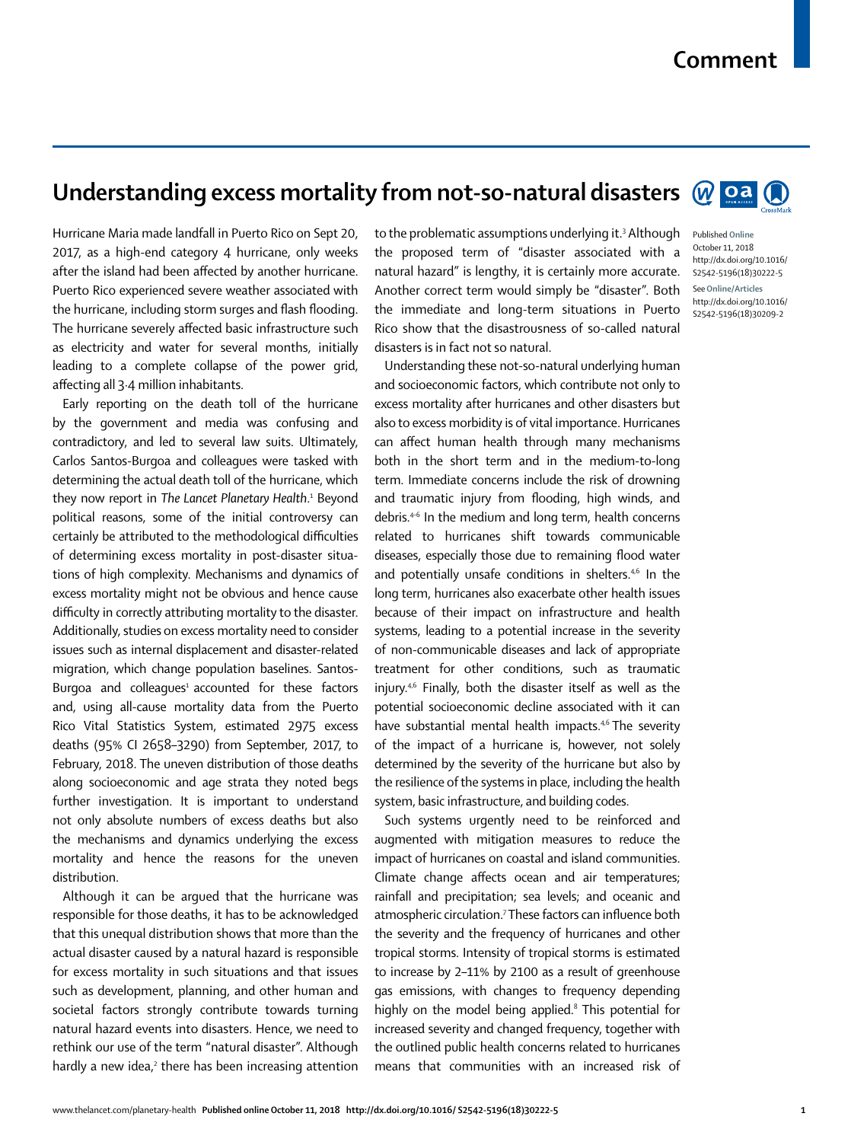## **Comment**

## **Understanding excess mortality from not-so-natural disasters**  $\mathbb{Q}$  **oa**  $\mathbb{Q}$

Hurricane Maria made landfall in Puerto Rico on Sept 20, 2017, as a high-end category 4 hurricane, only weeks after the island had been affected by another hurricane. Puerto Rico experienced severe weather associated with the hurricane, including storm surges and flash flooding. The hurricane severely affected basic infrastructure such as electricity and water for several months, initially leading to a complete collapse of the power grid, affecting all 3·4 million inhabitants.

Early reporting on the death toll of the hurricane by the government and media was confusing and contradictory, and led to several law suits. Ultimately, Carlos Santos-Burgoa and colleagues were tasked with determining the actual death toll of the hurricane, which they now report in *The Lancet Planetary Health*. 1 Beyond political reasons, some of the initial controversy can certainly be attributed to the methodological difficulties of determining excess mortality in post-disaster situations of high complexity. Mechanisms and dynamics of excess mortality might not be obvious and hence cause difficulty in correctly attributing mortality to the disaster. Additionally, studies on excess mortality need to consider issues such as internal displacement and disaster-related migration, which change population baselines. Santos-Burgoa and colleagues<sup>1</sup> accounted for these factors and, using all-cause mortality data from the Puerto Rico Vital Statistics System, estimated 2975 excess deaths (95% CI 2658–3290) from September, 2017, to February, 2018. The uneven distribution of those deaths along socioeconomic and age strata they noted begs further investigation. It is important to understand not only absolute numbers of excess deaths but also the mechanisms and dynamics underlying the excess mortality and hence the reasons for the uneven distribution.

Although it can be argued that the hurricane was responsible for those deaths, it has to be acknowledged that this unequal distribution shows that more than the actual disaster caused by a natural hazard is responsible for excess mortality in such situations and that issues such as development, planning, and other human and societal factors strongly contribute towards turning natural hazard events into disasters. Hence, we need to rethink our use of the term "natural disaster". Although hardly a new idea,<sup>2</sup> there has been increasing attention

to the problematic assumptions underlying it.<sup>3</sup> Although the proposed term of "disaster associated with a natural hazard" is lengthy, it is certainly more accurate. Another correct term would simply be "disaster". Both the immediate and long-term situations in Puerto Rico show that the disastrousness of so-called natural disasters is in fact not so natural.

Understanding these not-so-natural underlying human and socioeconomic factors, which contribute not only to excess mortality after hurricanes and other disasters but also to excess morbidity is of vital importance. Hurricanes can affect human health through many mechanisms both in the short term and in the medium-to-long term. Immediate concerns include the risk of drowning and traumatic injury from flooding, high winds, and debris.4–6 In the medium and long term, health concerns related to hurricanes shift towards communicable diseases, especially those due to remaining flood water and potentially unsafe conditions in shelters.<sup>4,6</sup> In the long term, hurricanes also exacerbate other health issues because of their impact on infrastructure and health systems, leading to a potential increase in the severity of non-communicable diseases and lack of appropriate treatment for other conditions, such as traumatic injury.4,6 Finally, both the disaster itself as well as the potential socioeconomic decline associated with it can have substantial mental health impacts.<sup>46</sup> The severity of the impact of a hurricane is, however, not solely determined by the severity of the hurricane but also by the resilience of the systems in place, including the health system, basic infrastructure, and building codes.

Such systems urgently need to be reinforced and augmented with mitigation measures to reduce the impact of hurricanes on coastal and island communities. Climate change affects ocean and air temperatures; rainfall and precipitation; sea levels; and oceanic and atmospheric circulation.<sup>7</sup> These factors can influence both the severity and the frequency of hurricanes and other tropical storms. Intensity of tropical storms is estimated to increase by 2–11% by 2100 as a result of greenhouse gas emissions, with changes to frequency depending highly on the model being applied.<sup>8</sup> This potential for increased severity and changed frequency, together with the outlined public health concerns related to hurricanes means that communities with an increased risk of



Published **Online** October 11, 2018 http://dx.doi.org/10.1016/ S2542-5196(18)30222-5 See**Online/Articles** http://dx.doi.org/10.1016/

S2542-5196(18)30209-2